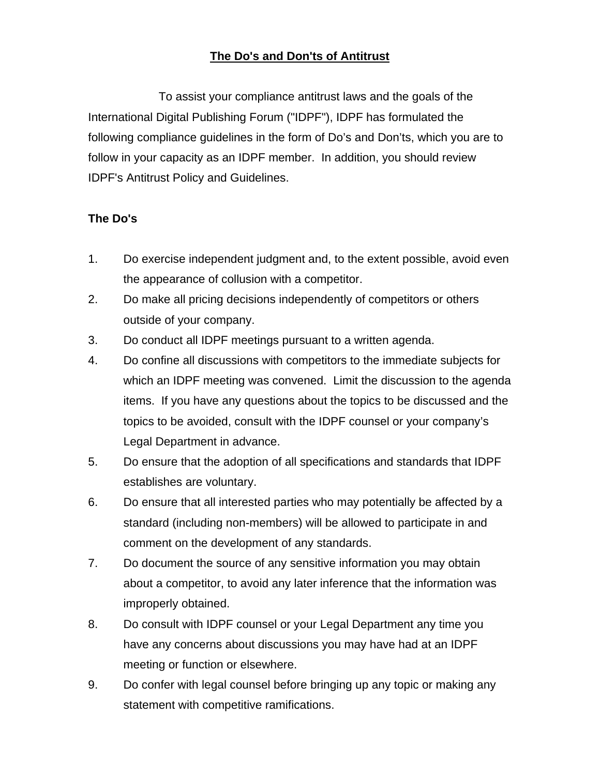## **The Do's and Don'ts of Antitrust**

To assist your compliance antitrust laws and the goals of the International Digital Publishing Forum ("IDPF"), IDPF has formulated the following compliance guidelines in the form of Do's and Don'ts, which you are to follow in your capacity as an IDPF member. In addition, you should review IDPF's Antitrust Policy and Guidelines.

## **The Do's**

- 1. Do exercise independent judgment and, to the extent possible, avoid even the appearance of collusion with a competitor.
- 2. Do make all pricing decisions independently of competitors or others outside of your company.
- 3. Do conduct all IDPF meetings pursuant to a written agenda.
- 4. Do confine all discussions with competitors to the immediate subjects for which an IDPF meeting was convened. Limit the discussion to the agenda items. If you have any questions about the topics to be discussed and the topics to be avoided, consult with the IDPF counsel or your company's Legal Department in advance.
- 5. Do ensure that the adoption of all specifications and standards that IDPF establishes are voluntary.
- 6. Do ensure that all interested parties who may potentially be affected by a standard (including non-members) will be allowed to participate in and comment on the development of any standards.
- 7. Do document the source of any sensitive information you may obtain about a competitor, to avoid any later inference that the information was improperly obtained.
- 8. Do consult with IDPF counsel or your Legal Department any time you have any concerns about discussions you may have had at an IDPF meeting or function or elsewhere.
- 9. Do confer with legal counsel before bringing up any topic or making any statement with competitive ramifications.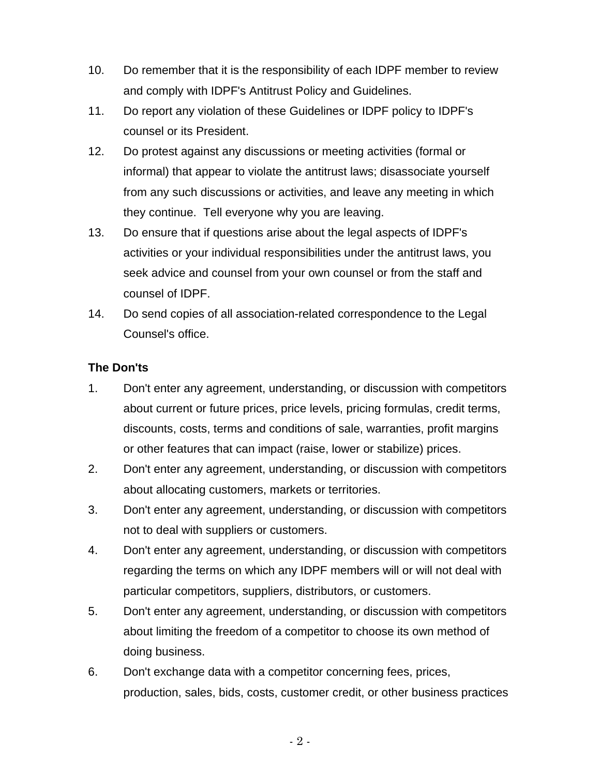- 10. Do remember that it is the responsibility of each IDPF member to review and comply with IDPF's Antitrust Policy and Guidelines.
- 11. Do report any violation of these Guidelines or IDPF policy to IDPF's counsel or its President.
- 12. Do protest against any discussions or meeting activities (formal or informal) that appear to violate the antitrust laws; disassociate yourself from any such discussions or activities, and leave any meeting in which they continue. Tell everyone why you are leaving.
- 13. Do ensure that if questions arise about the legal aspects of IDPF's activities or your individual responsibilities under the antitrust laws, you seek advice and counsel from your own counsel or from the staff and counsel of IDPF.
- 14. Do send copies of all association-related correspondence to the Legal Counsel's office.

## **The Don'ts**

- 1. Don't enter any agreement, understanding, or discussion with competitors about current or future prices, price levels, pricing formulas, credit terms, discounts, costs, terms and conditions of sale, warranties, profit margins or other features that can impact (raise, lower or stabilize) prices.
- 2. Don't enter any agreement, understanding, or discussion with competitors about allocating customers, markets or territories.
- 3. Don't enter any agreement, understanding, or discussion with competitors not to deal with suppliers or customers.
- 4. Don't enter any agreement, understanding, or discussion with competitors regarding the terms on which any IDPF members will or will not deal with particular competitors, suppliers, distributors, or customers.
- 5. Don't enter any agreement, understanding, or discussion with competitors about limiting the freedom of a competitor to choose its own method of doing business.
- 6. Don't exchange data with a competitor concerning fees, prices, production, sales, bids, costs, customer credit, or other business practices